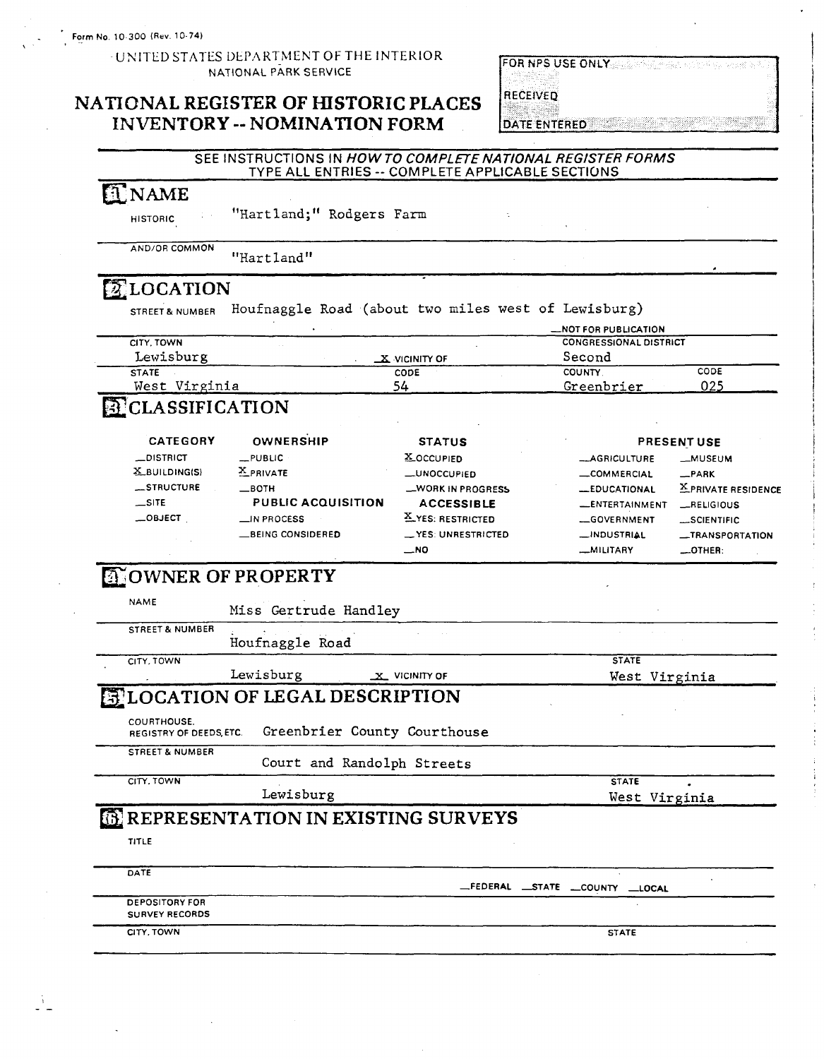**9'** 

#### UNITED STATES DEPARTMENT OF THE INTERIOR **NATIONAL** PARK **SERVICE**

### **NATIONAL REGISTER OF HISTORIC PLACES INVENTORY** -- **NOMINATION FORM**

| <b>IFSE ONLY</b><br>医阴道性痤疮<br>손을 앞주 있다 | 나는 왜 보스<br>12  |
|----------------------------------------|----------------|
|                                        |                |
| <b>A 10 A</b>                          | 3,555          |
| 1331                                   | ×.<br>365<br>X |
|                                        |                |

#### SEE INSTRUCTIONS IN HOW TO COMPLETE NATIONAL REGISTER FORMS TYPE ALL ENTRIES -- COMPLETE APPLICABLE SECTIONS

### **ENAME**

HISTORIC "Hartland;" Rodgers Farm

AND/OR COMMON "Hart land"

# **ELOCATION**

STREET& NUMBER Houfnaggle Road (about two miles west of Lewisburg)

|                      |                 |                               | -NOT FOR PUBLICATION |  |
|----------------------|-----------------|-------------------------------|----------------------|--|
| CITY, TOWN<br>$\sim$ |                 | <b>CONGRESSIONAL DISTRICT</b> |                      |  |
| Lewisburg            | $X$ vicinity of | Second                        |                      |  |
| <b>STATE</b>         | CODE            | <b>COUNTY</b>                 | CODE                 |  |
| Virginia<br>West     |                 | Greenbrier                    | 025                  |  |
|                      |                 |                               |                      |  |

### **EL**CLASSIFICATION

| <b>CATEGORY</b> | OWNERSHIP                 | <b>STATUS</b>        |                          | <b>PRESENT USE</b>  |
|-----------------|---------------------------|----------------------|--------------------------|---------------------|
| $\_$ DISTRICT   | $-$ PUBLIC                | <b>X</b> OCCUPIED    | -AGRICULTURE             | __MUSEUM            |
| $X$ BUILDING(S) | <b>X</b> PRIVATE          | <b>LUNOCCUPIED</b>   | -COMMERCIAL              | $-$ PARK            |
| __STRUCTURE     | $\equiv$ BOTH             | -WORK IN PROGRESS    | <b>LEDUCATIONAL</b>      | X PRIVATE RESIDENCE |
| $\equiv$ SITE   | <b>PUBLIC ACQUISITION</b> | <b>ACCESSIBLE</b>    | <b>LENTERTAINMENT</b>    | RELIGIOUS           |
| $\equiv$ OBJECT | $\Box$ IN PROCESS         | X YES: RESTRICTED    | -GOVERNMENT              | SCIENTIFIC          |
|                 | <b>BEING CONSIDERED</b>   | $N$ ES: UNRESTRICTED | $\rightarrow$ INDUSTRIAL | -TRANSPORTATION     |
|                 |                           | $-NO$                | -MILITARY                | $-$ OTHER:          |

### **OWNER OF PROPERTY**

| n<br>F<br>JAM |  |
|---------------|--|
|---------------|--|

STREET & NUMBER

Miss Gertrude Handley

Houfnaggle Road

CITY. TOWN STATE

Lewisburg **-x** VICINITY OF West Virginia

## **BLOCATION OF LEGAL DESCRIPTION**

COURTHOUSE,<br>REGISTRY OF DEEDS, ETC. Greenbrier County Courthouse

STREET & NUMBER

Court and Randolph Streets CITY. TOWN STATE

Lewisburg West Virginia

### **REPRESENTATION IN EXISTING SURVEYS**

TITLE

| DATE                  |                            |
|-----------------------|----------------------------|
|                       | FEDERAL STATE COUNTY LOCAL |
| <b>DEPOSITORY FOR</b> |                            |
| <b>SURVEY RECORDS</b> |                            |
| CITY. TOWN            | <b>STATE</b>               |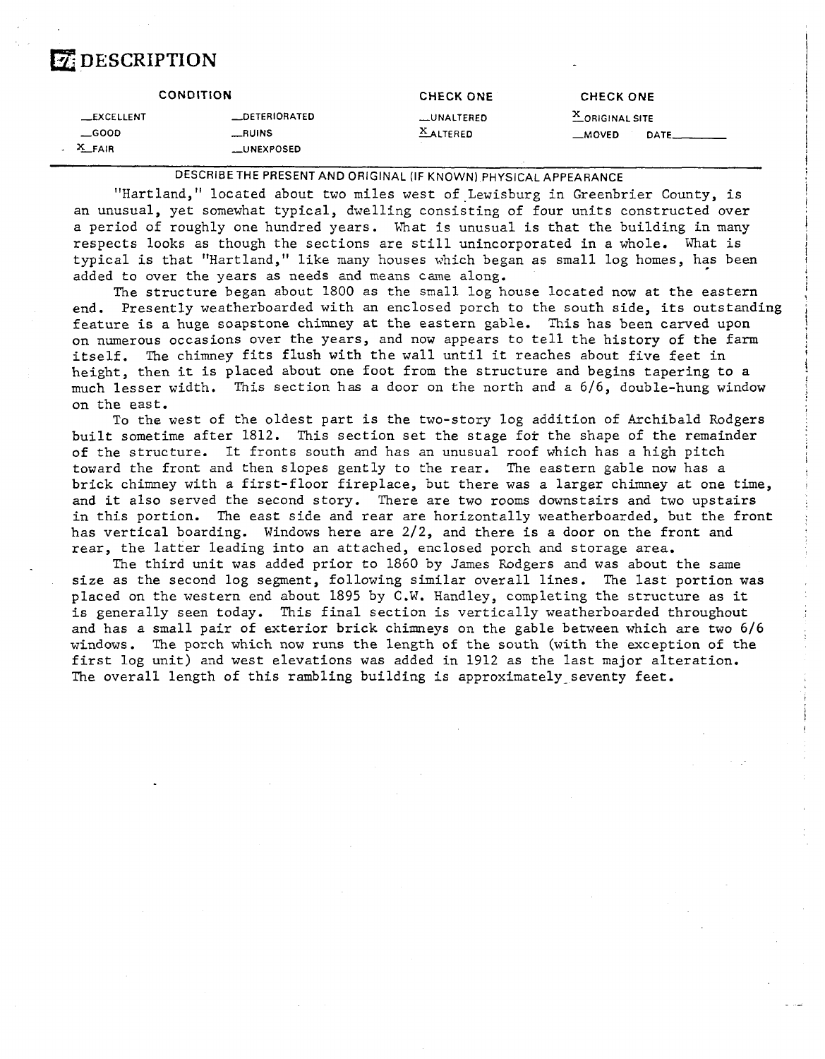### *DESCRIPTION*

|                                          | <b>CONDITION</b>                           | <b>CHECK ONE</b>             | <b>CHECK ONE</b>                                        |
|------------------------------------------|--------------------------------------------|------------------------------|---------------------------------------------------------|
| __EXCELLENT<br>$\equiv$ GOOD<br>$X$ FAIR | _DETERIORATED<br>RUNS<br><b>LUNEXPOSED</b> | UNALTERED<br><b>XALTERED</b> | $X_{ORIGINAL SITE}$<br>$M$ OVED<br><b>DATE_________</b> |

**DESCRIBE THE PRESENT AND ORIGINAL (IF KNOWN) PHYSICAL APPEARANCE** 

"Hartland," located about two miles west of Lewisburg in Greenbrier County, is an unusual, yet somewhat typical, dwelling consisting of four units constructed over a period of roughly one hundred years. What is unusual is that the building in many respects looks as though the sections are still unincorporated in a whole. What is typical is that "Hartland," like many houses which began as small log homes, has been added to over the years as needs and means came along.

The structure began about 1800 as the small log house located now at the eastern end. Presently weatherboarded with an enclosed porch to the south side, its outstanding feature is a huge soapstone chimney at the eastern gable. This has been carved upon on numerous occasions over the years, and now appears to tell the history of the farm itself. The chimney fits flush with the wall until it reaches about five feet in height, then it is placed about one foot from the structure and begins tapering to a much lesser width. This section has a door on the north and a 616, double-hung window on the east.

To the west of the oldest part is the two-story log addition of Archibald Rodgers built sometime after 1812. This section set the stage for the shape of the remainder of the structure. It fronts south and has an unusual roof which has a high pitch toward the front and then slopes gently to the rear. The eastern gable now has a brick chimney with a first-floor fireplace, but there was a larger chimney at one time, and it also served the second story. There are two rooms downstairs and two upstairs in this portion. The east side and rear are horizontally weatherboarded, but the front has vertical boarding. Windows here are 2/2, and there is a door on the front and rear, the latter leading into an attached, enclosed porch and storage area.

The third unit was added prior to 1860 by James Rodgers and was about the same size as the second log segment, following similar overall lines. The last portion was placed on the western end about 1895 by **C.W.** Handley, completing the structure as it is generally seen today. This final section is vertically weatherboarded throughout and has a small pair of exterior brick chimneys on the gable between which are two 6/6 windows. The porch which now runs the length of the south (with the exception of the first log unit) and west elevations was added in 1912 as the last major alteration. The overall length of this rambling building is approximately seventy feet.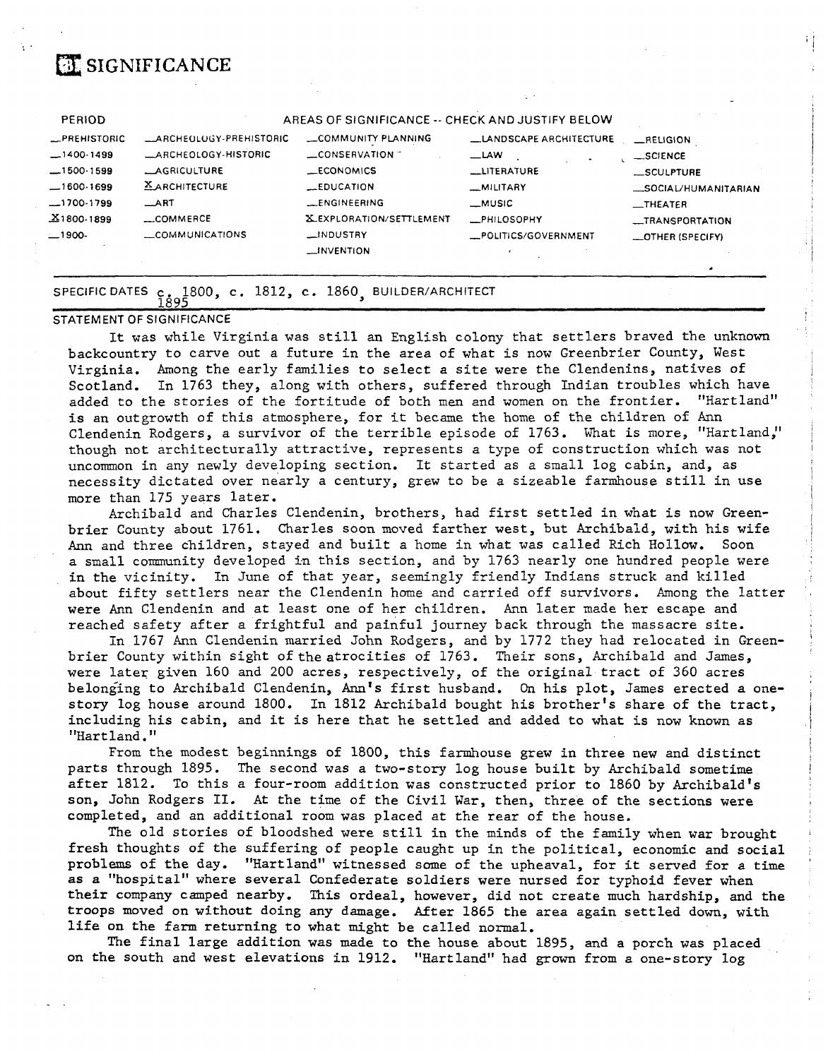# **a** SIGNIFICANCE

| <b>PERIOD</b>       |                                | AREAS OF SIGNIFICANCE -- CHECK AND JUSTIFY BELOW |                               |                         |
|---------------------|--------------------------------|--------------------------------------------------|-------------------------------|-------------------------|
| <b>LPREHISTORIC</b> | <b>LARCHEOLOGY-PREHISTORIC</b> | COMMUNITY PLANNING                               | <b>LANDSCAPE ARCHITECTURE</b> | $R$ ELIGION             |
| $-1400-1499$        | <b>LARCHEOLOGY-HISTORIC</b>    | $\equiv$ CONSERVATION $\equiv$                   | $-LAW$                        | $\_SC$ ENCE             |
| $-1500-1599$        | <b>LAGRICULTURE</b>            | <b>LECONOMICS</b>                                | LITERATURE                    | __SCULPTURE             |
| $-1600.1699$        | <b>XARCHITECTURE</b>           | $-$ EDUCATION                                    | _MILITARY                     | _SOCIAL/HUMANITARIAN    |
| $-1700-1799$        | $\_$ ART                       | <b>LENGINEERING</b>                              | _MUSIC                        | $\equiv$ THEATER        |
| $X1800-1899$        | $\sim$ COMMERCE                | <b>X_EXPLORATION/SETTLEMENT</b>                  | <b>MPHILOSOPHY</b>            | _TRANSPORTATION         |
| $-1900-$            | COMMUNICATIONS                 | __INDUSTRY                                       | POLITICS/GOVERNMENT           | <b>LOTHER (SPECIFY)</b> |
|                     |                                | $\equiv$ INVENTION                               |                               |                         |
|                     |                                |                                                  |                               |                         |

# SPECIFIC DATES c 1800, c . 1812, c . 1860, BUILDER/ARCHITECT

#### STATEMENT OF SIGNIFICANCE

It was while Virginia was still an English colony that settlers braved the unknown backcountry to carve out a future in the area of what is now Greenbrier County, West Virginia. Among the early families to select a site were the Clendenins, natives of Scotland. In 1763 they, along with others, suffered through Indian troubles which have added to the stories of the fortitude of both men and women on the frontier. "Hartland" is an outgrowth of this atmosphere, for it became the home of the children of Ann Clendenin Rodgers, a survivor of the terrible episode of 1763. What is more, "Hartland," though not architecturally attractive, represents a type of construction which was not uncommon in any newly developing section. It started as a small log cabin, and, as necessity dictated over nearly a century, grew to be a sizeable farmhouse still in use more than 175 years later.

Archibald and Charles Clendenin, brothers, had first settled in what is now Greenbrier County about 1761, Charles soon moved farther west, but Archibald, with his wife Ann and three children, stayed and built a home in what was called Rich Hollow. Soon a small community developed in this section, and by 1763 nearly one hundred people were in the vicinity. In June of that year, seemingly friendly Indians struck and killed about fifty settlers near the Clendenin home and carried off survivors. Among the latter were Ann Clendenin and at least one of her children. Ann later made her escape and reached safety after a frightful and painful journey back through the massacre site.

In 1767 Ann Clendenin married John Rodgers, and by 1772 they had relocated in Greenbrier County within sight of the atrocities of 1763. Their sons, Archibald and James, were later given 160 and 200 acres, respectively, of the original tract of 360 acres belonging to Archibald Clendenin, Ann's first husband. **On** his plot, James erected a onestory log house around 1800. In 1812 Archibald bought his brother's share of the tract, including his cabin, and it is here that he settled and added to what is now known as "Hartland."

From the modest beginnings of 1800, this farmhouse grew in three new and distinct parts through 1895. The second was a two-story log house built by Archibald sometime after 1812. To this a four-room addition was constructed prior to 1860 by Archibald's son, John Rodgers **11.** At the time of the Civil War, then, three of the sections were completed, and an additional room was placed at the rear of the house.

The old stories of bloodshed were still in the minds of the family when war brought fresh thoughts of the suffering of people caught up in the political, economic and social problems of the day. "Hartland" witnessed some of the upheaval, for it served for a time as a "hospital" where several Confederate soldiers were nursed for typhoid fever when their company camped nearby. This ordeal, however, did not create much hardship, and the troops moved on without doing any damage. After 1865 the area again settled down, with life on the farm returning to what might be called normal.

The final large addition was made to the house about 1895, and a porch was placed on the south and west elevations in 1912. "Hartland" had grown from *a* one-story log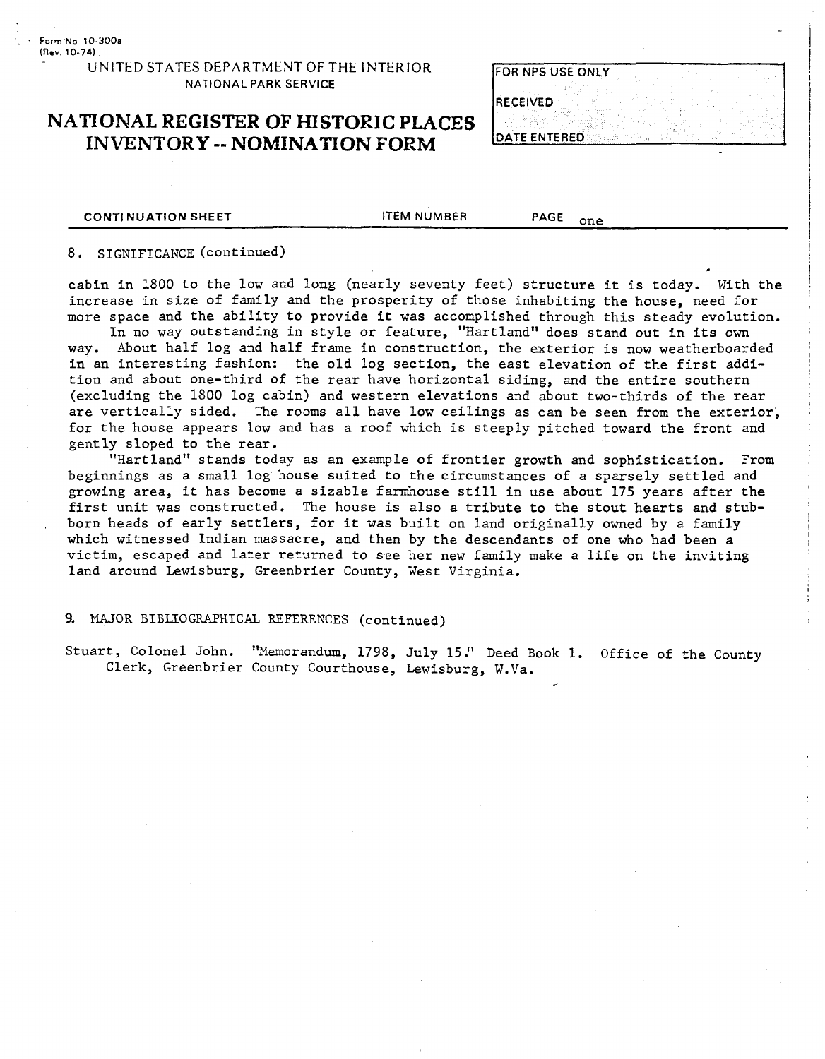#### UNITED STATES DEPARTMENT OF THE INTERIOR. NATIONAL PARK **SERVICE**

### **NATIONAL REGISTER OF HISTORIC PLACES INVENTORY** -- **NOMINATION FORM**

| FOR NPS USE ONLY |  |  |
|------------------|--|--|
| <b>IRECEIVED</b> |  |  |

**CONTINUATION SHEET ITEM NUMBER** PAGE <sub>one</sub>

#### 8. SIGNIFICANCE (continued)

cabin in 1800 to the low and long (nearly seventy feet) structure it is today. With the increase in size of family and the prosperity of those inhabiting the house, need for more space and the ability to provide it was accomplished through this steady evolution.

In no way outstanding in style or feature, "Hartland" does stand out in its own way. About half log and half frame in construction, the exterior is now weatherboarded in an interesting fashion: the old log section, the east elevation of the first addition and about one-third of the rear have horizontal siding, and the entire southern (excluding the 1800 log cabin) and western elevations and about two-thirds of the rear are vertically sided. The rooms all have low ceilings as can be seen from the exterior, for the house appears low and has a roof which is steeply pitched toward the front and gently sloped to the rear.

"Hartland" stands today as an example of frontier growth and sophistication. From beginnings as a small log house suited to the circumstances of *a* sparsely settled and growing area, it has become a sizable farmhouse still in use about 175 years after the first unit was constructed. The house is also a tribute to the stout hearts and stubborn heads of early settlers, for it was built on land originally owned by a family which witnessed Indian massacre, and then by the descendants of one who had been a victim, escaped and later returned to see her new family make a life on the inviting land around Lewisburg, Greenbrier County, West Virginia.

#### 9. MAJOR BIBLIQGRAPHICAL REFERENCES (continued)

Stuart, Colonel John. "Memorandum, 1798, July 15." Deed Book 1. Office of the County Clerk, Greenbrier County Courthouse, Lewisburg, W.Va. /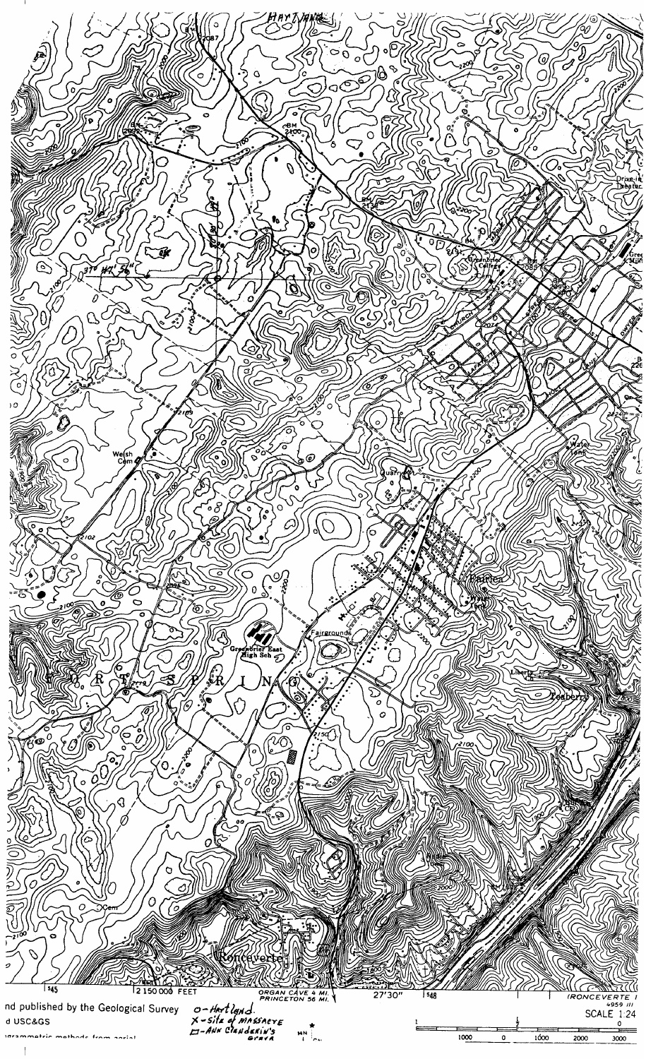